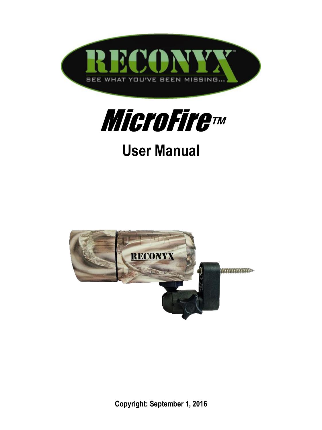



# **User Manual**



**Copyright: September 1, 2016**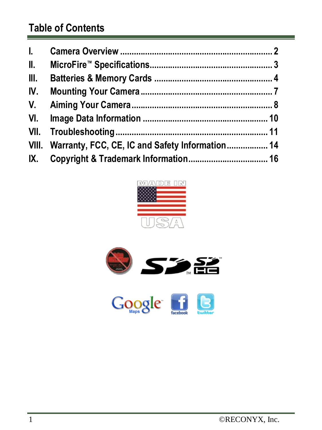## **Table of Contents**

| VIII. Warranty, FCC, CE, IC and Safety Information 14 |  |
|-------------------------------------------------------|--|
|                                                       |  |





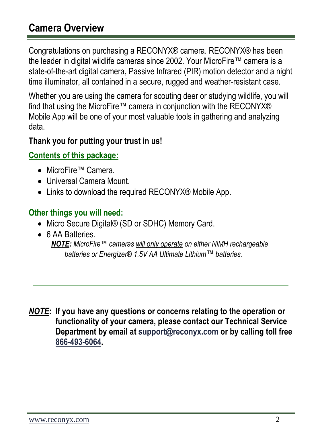## <span id="page-2-0"></span>**Camera Overview**

Congratulations on purchasing a RECONYX® camera. RECONYX® has been the leader in digital wildlife cameras since 2002. Your MicroFire™ camera is a state-of-the-art digital camera, Passive Infrared (PIR) motion detector and a night time illuminator, all contained in a secure, rugged and weather-resistant case.

Whether you are using the camera for scouting deer or studying wildlife, you will find that using the MicroFire™ camera in conjunction with the RECONYX® Mobile App will be one of your most valuable tools in gathering and analyzing data.

#### **Thank you for putting your trust in us!**

#### **Contents of this package:**

- MicroFire™ Camera.
- Universal Camera Mount.
- Links to download the required RECONYX® Mobile App.

#### **Other things you will need:**

- Micro Secure Digital® (SD or SDHC) Memory Card.
- 6 AA Batteries. *NOTE: MicroFire™ cameras will only operate on either NiMH rechargeable batteries or Energizer® 1.5V AA Ultimate Lithium*™ *batteries.*

*NOTE***: If you have any questions or concerns relating to the operation or functionality of your camera, please contact our Technical Service Department by email at [support@reconyx.com](mailto:support@reconyx.com) or by calling toll free [866-493-6064.](callto:+1866-793-6064)**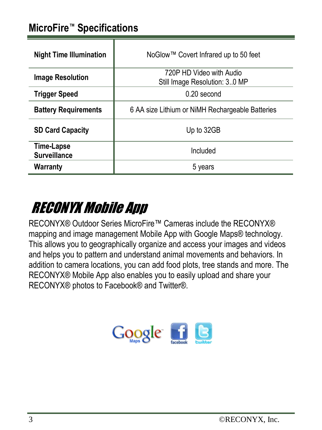## <span id="page-3-0"></span>**MicroFire™ Specifications**

| <b>Night Time Illumination</b>    | NoGlow™ Covert Infrared up to 50 feet                     |
|-----------------------------------|-----------------------------------------------------------|
| <b>Image Resolution</b>           | 720P HD Video with Audio<br>Still Image Resolution: 30 MP |
| <b>Trigger Speed</b>              | $0.20$ second                                             |
| <b>Battery Requirements</b>       | 6 AA size Lithium or NiMH Rechargeable Batteries          |
| <b>SD Card Capacity</b>           | Up to 32GB                                                |
| Time-Lapse<br><b>Surveillance</b> | Included                                                  |
| Warranty                          | 5 years                                                   |

# RECONYX Mobile App

RECONYX® Outdoor Series MicroFire™ Cameras include the RECONYX® mapping and image management Mobile App with Google Maps® technology. This allows you to geographically organize and access your images and videos and helps you to pattern and understand animal movements and behaviors. In addition to camera locations, you can add food plots, tree stands and more. The RECONYX® Mobile App also enables you to easily upload and share your RECONYX® photos to Facebook® and Twitter®.

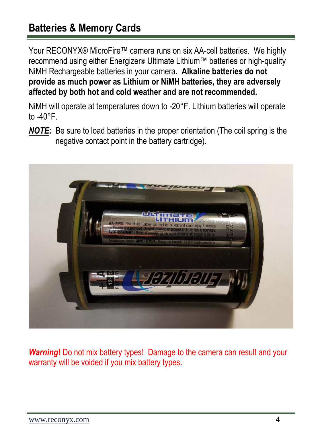## <span id="page-4-0"></span>**Batteries & Memory Cards**

Your RECONYX® MicroFire™ camera runs on six AA-cell batteries. We highly recommend using either Energizer® Ultimate Lithium™ batteries or high-quality NiMH Rechargeable batteries in your camera. **Alkaline batteries do not provide as much power as Lithium or NiMH batteries, they are adversely affected by both hot and cold weather and are not recommended.**

NiMH will operate at temperatures down to -20°F. Lithium batteries will operate to  $-40^{\circ}$ F

*NOTE:* Be sure to load batteries in the proper orientation (The coil spring is the negative contact point in the battery cartridge).



*Warning***!** Do not mix battery types! Damage to the camera can result and your warranty will be voided if you mix battery types.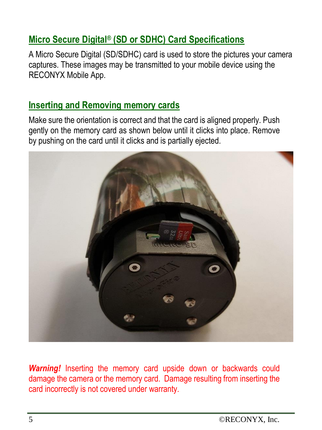## **Micro Secure Digital® (SD or SDHC) Card Specifications**

A Micro Secure Digital (SD/SDHC) card is used to store the pictures your camera captures. These images may be transmitted to your mobile device using the RECONYX Mobile App.

### **Inserting and Removing memory cards**

Make sure the orientation is correct and that the card is aligned properly. Push gently on the memory card as shown below until it clicks into place. Remove by pushing on the card until it clicks and is partially ejected.



*Warning!* Inserting the memory card upside down or backwards could damage the camera or the memory card.Damage resulting from inserting the card incorrectly is not covered under warranty.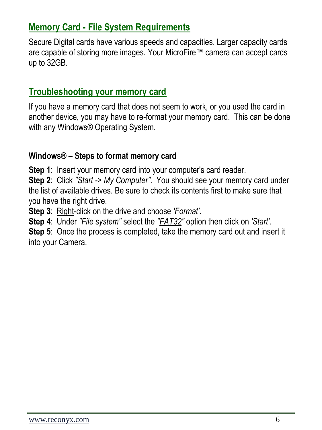### **Memory Card - File System Requirements**

Secure Digital cards have various speeds and capacities. Larger capacity cards are capable of storing more images. Your MicroFire™ camera can accept cards up to 32GB.

#### **Troubleshooting your memory card**

If you have a memory card that does not seem to work, or you used the card in another device, you may have to re-format your memory card. This can be done with any Windows® Operating System.

#### **Windows® – Steps to format memory card**

**Step 1:** Insert your memory card into your computer's card reader.

**Step 2**: Click *"Start -> My Computer".* You should see your memory card under the list of available drives. Be sure to check its contents first to make sure that you have the right drive.

**Step 3**: Right-click on the drive and choose *'Format'*.

**Step 4**: Under *"File system"* select the *"FAT32"* option then click on *'Start'*.

**Step 5:** Once the process is completed, take the memory card out and insert it into your Camera.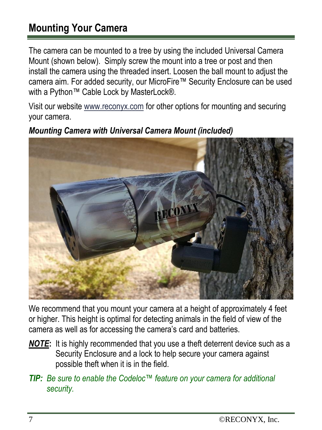## <span id="page-7-0"></span>**Mounting Your Camera**

The camera can be mounted to a tree by using the included Universal Camera Mount (shown below). Simply screw the mount into a tree or post and then install the camera using the threaded insert. Loosen the ball mount to adjust the camera aim. For added security, our MicroFire™ Security Enclosure can be used with a Python™ Cable Lock by MasterLock®.

Visit our websit[e www.reconyx.com](http://www.reconyx.com/) for other options for mounting and securing your camera.



#### *Mounting Camera with Universal Camera Mount (included)*

We recommend that you mount your camera at a height of approximately 4 feet or higher. This height is optimal for detecting animals in the field of view of the camera as well as for accessing the camera's card and batteries.

- *NOTE***:** It is highly recommended that you use a theft deterrent device such as a Security Enclosure and a lock to help secure your camera against possible theft when it is in the field.
- *TIP: Be sure to enable the Codeloc™ feature on your camera for additional security.*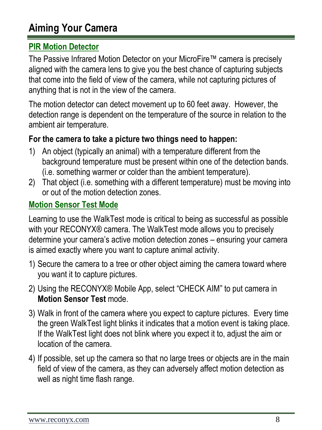#### <span id="page-8-0"></span>**PIR Motion Detector**

The Passive Infrared Motion Detector on your MicroFire™ camera is precisely aligned with the camera lens to give you the best chance of capturing subjects that come into the field of view of the camera, while not capturing pictures of anything that is not in the view of the camera.

The motion detector can detect movement up to 60 feet away. However, the detection range is dependent on the temperature of the source in relation to the ambient air temperature.

#### **For the camera to take a picture two things need to happen:**

- 1) An object (typically an animal) with a temperature different from the background temperature must be present within one of the detection bands. (i.e. something warmer or colder than the ambient temperature).
- 2) That object (i.e. something with a different temperature) must be moving into or out of the motion detection zones.

### **Motion Sensor Test Mode**

Learning to use the WalkTest mode is critical to being as successful as possible with your RECONYX® camera. The WalkTest mode allows you to precisely determine your camera's active motion detection zones – ensuring your camera is aimed exactly where you want to capture animal activity.

- 1) Secure the camera to a tree or other object aiming the camera toward where you want it to capture pictures.
- 2) Using the RECONYX® Mobile App, select "CHECK AIM" to put camera in **Motion Sensor Test** mode.
- 3) Walk in front of the camera where you expect to capture pictures. Every time the green WalkTest light blinks it indicates that a motion event is taking place. If the WalkTest light does not blink where you expect it to, adjust the aim or location of the camera.
- 4) If possible, set up the camera so that no large trees or objects are in the main field of view of the camera, as they can adversely affect motion detection as well as night time flash range.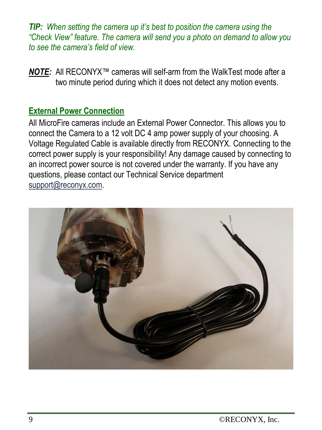*TIP:* When setting the camera up it's best to position the camera using the *"Check View" feature. The camera will send you a photo on demand to allow you to see the camera's field of view.*

*NOTE:* All RECONYX™ cameras will self-arm from the WalkTest mode after a two minute period during which it does not detect any motion events.

#### **External Power Connection**

All MicroFire cameras include an External Power Connector. This allows you to connect the Camera to a 12 volt DC 4 amp power supply of your choosing. A Voltage Regulated Cable is available directly from RECONYX. Connecting to the correct power supply is your responsibility! Any damage caused by connecting to an incorrect power source is not covered under the warranty. If you have any questions, please contact our Technical Service department [support@reconyx.com.](mailto:support@reconyx.com)

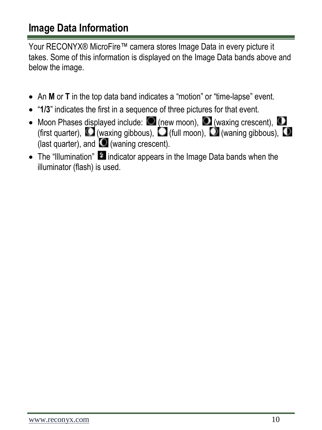## <span id="page-10-0"></span>**Image Data Information**

Your RECONYX® MicroFire™ camera stores Image Data in every picture it takes. Some of this information is displayed on the Image Data bands above and below the image.

- An **M** or **T** in the top data band indicates a "motion" or "time-lapse" event.
- "**1/3**" indicates the first in a sequence of three pictures for that event.
- Moon Phases displayed include:  $\Box$  (new moon),  $\Box$  (waxing crescent), (first quarter),  $\Box$  (waxing gibbous),  $\Box$  (full moon),  $\Box$  (waning gibbous), (last quarter), and (waning crescent).
- The "Illumination"  $\blacktriangle$  indicator appears in the Image Data bands when the illuminator (flash) is used.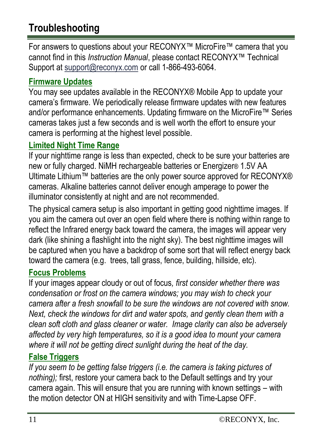## <span id="page-11-0"></span>**Troubleshooting**

For answers to questions about your RECONYX™ MicroFire™ camera that you cannot find in this *Instruction Manual*, please contact RECONYX™ Technical Support at [support@reconyx.com](mailto:support@reconyx.com) or call 1-866-493-6064.

#### **Firmware Updates**

You may see updates available in the RECONYX® Mobile App to update your camera's firmware. We periodically release firmware updates with new features and/or performance enhancements. Updating firmware on the MicroFire™ Series cameras takes just a few seconds and is well worth the effort to ensure your camera is performing at the highest level possible.

#### **Limited Night Time Range**

If your nighttime range is less than expected, check to be sure your batteries are new or fully charged. NiMH rechargeable batteries or Energizer® 1.5V AA Ultimate Lithium™ batteries are the only power source approved for RECONYX® cameras. Alkaline batteries cannot deliver enough amperage to power the illuminator consistently at night and are not recommended.

The physical camera setup is also important in getting good nighttime images. If you aim the camera out over an open field where there is nothing within range to reflect the Infrared energy back toward the camera, the images will appear very dark (like shining a flashlight into the night sky). The best nighttime images will be captured when you have a backdrop of some sort that will reflect energy back toward the camera (e.g. trees, tall grass, fence, building, hillside, etc).

#### **Focus Problems**

If your images appear cloudy or out of focus*, first consider whether there was condensation or frost on the camera windows; you may wish to check your camera after a fresh snowfall to be sure the windows are not covered with snow. Next, check the windows for dirt and water spots, and gently clean them with a clean soft cloth and glass cleaner or water. Image clarity can also be adversely affected by very high temperatures, so it is a good idea to mount your camera where it will not be getting direct sunlight during the heat of the day.* 

#### **False Triggers**

*If you seem to be getting false triggers (i.e. the camera is taking pictures of nothing);* first, restore your camera back to the Default settings and try your camera again. This will ensure that you are running with known settings – with the motion detector ON at HIGH sensitivity and with Time-Lapse OFF.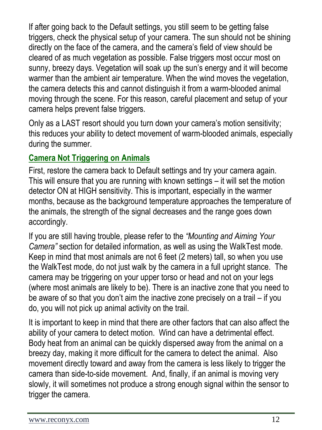If after going back to the Default settings, you still seem to be getting false triggers, check the physical setup of your camera. The sun should not be shining directly on the face of the camera, and the camera's field of view should be cleared of as much vegetation as possible. False triggers most occur most on sunny, breezy days. Vegetation will soak up the sun's energy and it will become warmer than the ambient air temperature. When the wind moves the vegetation, the camera detects this and cannot distinguish it from a warm-blooded animal moving through the scene. For this reason, careful placement and setup of your camera helps prevent false triggers.

Only as a LAST resort should you turn down your camera's motion sensitivity; this reduces your ability to detect movement of warm-blooded animals, especially during the summer.

#### **Camera Not Triggering on Animals**

First, restore the camera back to Default settings and try your camera again. This will ensure that you are running with known settings – it will set the motion detector ON at HIGH sensitivity. This is important, especially in the warmer months, because as the background temperature approaches the temperature of the animals, the strength of the signal decreases and the range goes down accordingly.

If you are still having trouble, please refer to the *"Mounting and Aiming Your Camera"* section for detailed information, as well as using the WalkTest mode. Keep in mind that most animals are not 6 feet (2 meters) tall, so when you use the WalkTest mode, do not just walk by the camera in a full upright stance. The camera may be triggering on your upper torso or head and not on your legs (where most animals are likely to be). There is an inactive zone that you need to be aware of so that you don't aim the inactive zone precisely on a trail – if you do, you will not pick up animal activity on the trail.

It is important to keep in mind that there are other factors that can also affect the ability of your camera to detect motion. Wind can have a detrimental effect. Body heat from an animal can be quickly dispersed away from the animal on a breezy day, making it more difficult for the camera to detect the animal. Also movement directly toward and away from the camera is less likely to trigger the camera than side-to-side movement. And, finally, if an animal is moving very slowly, it will sometimes not produce a strong enough signal within the sensor to trigger the camera.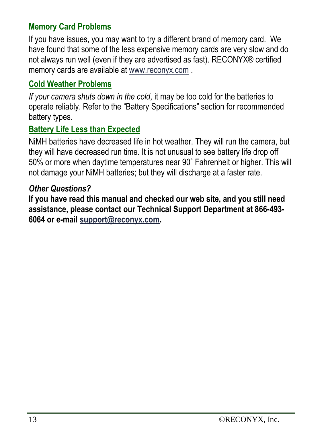#### **Memory Card Problems**

If you have issues, you may want to try a different brand of memory card. We have found that some of the less expensive memory cards are very slow and do not always run well (even if they are advertised as fast). RECONYX® certified memory cards are available a[t www.reconyx.com](http://www.reconyx.com/) .

#### **Cold Weather Problems**

*If your camera shuts down in the cold,* it may be too cold for the batteries to operate reliably. Refer to the "Battery Specifications" section for recommended battery types.

### **Battery Life Less than Expected**

NiMH batteries have decreased life in hot weather. They will run the camera, but they will have decreased run time. It is not unusual to see battery life drop off 50% or more when daytime temperatures near 90˚ Fahrenheit or higher. This will not damage your NiMH batteries; but they will discharge at a faster rate.

#### *Other Questions?*

**If you have read this manual and checked our web site, and you still need assistance, please contact our Technical Support Department at 866-493- 6064 or e-mail [support@reconyx.com.](mailto:support@reconyx.com)**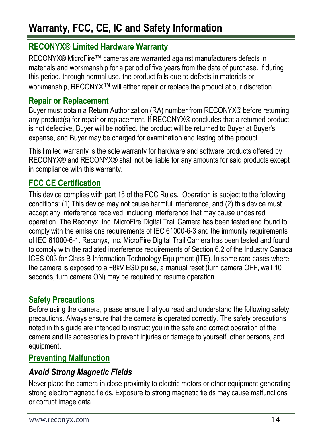## <span id="page-14-0"></span>**Warranty, FCC, CE, IC and Safety Information**

#### **RECONYX® Limited Hardware Warranty**

RECONYX® MicroFire™ cameras are warranted against manufacturers defects in materials and workmanship for a period of five years from the date of purchase. If during this period, through normal use, the product fails due to defects in materials or workmanship, RECONYX<sup>™</sup> will either repair or replace the product at our discretion.

#### **Repair or Replacement**

Buyer must obtain a Return Authorization (RA) number from RECONYX® before returning any product(s) for repair or replacement. If RECONYX® concludes that a returned product is not defective, Buyer will be notified, the product will be returned to Buyer at Buyer's expense, and Buyer may be charged for examination and testing of the product.

This limited warranty is the sole warranty for hardware and software products offered by RECONYX® and RECONYX® shall not be liable for any amounts for said products except in compliance with this warranty.

### **FCC CE Certification**

This device complies with part 15 of the FCC Rules. Operation is subject to the following conditions: (1) This device may not cause harmful interference, and (2) this device must accept any interference received, including interference that may cause undesired operation. The Reconyx, Inc. MicroFire Digital Trail Camera has been tested and found to comply with the emissions requirements of IEC 61000-6-3 and the immunity requirements of IEC 61000-6-1. Reconyx, Inc. MicroFire Digital Trail Camera has been tested and found to comply with the radiated interference requirements of Section 6.2 of the Industry Canada ICES-003 for Class B Information Technology Equipment (ITE). In some rare cases where the camera is exposed to a +8kV ESD pulse, a manual reset (turn camera OFF, wait 10 seconds, turn camera ON) may be required to resume operation.

#### **Safety Precautions**

Before using the camera, please ensure that you read and understand the following safety precautions. Always ensure that the camera is operated correctly. The safety precautions noted in this guide are intended to instruct you in the safe and correct operation of the camera and its accessories to prevent injuries or damage to yourself, other persons, and equipment.

#### **Preventing Malfunction**

#### *Avoid Strong Magnetic Fields*

Never place the camera in close proximity to electric motors or other equipment generating strong electromagnetic fields. Exposure to strong magnetic fields may cause malfunctions or corrupt image data.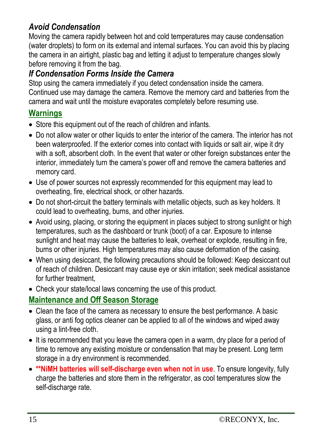#### *Avoid Condensation*

Moving the camera rapidly between hot and cold temperatures may cause condensation (water droplets) to form on its external and internal surfaces. You can avoid this by placing the camera in an airtight, plastic bag and letting it adjust to temperature changes slowly before removing it from the bag.

#### *If Condensation Forms Inside the Camera*

Stop using the camera immediately if you detect condensation inside the camera. Continued use may damage the camera. Remove the memory card and batteries from the camera and wait until the moisture evaporates completely before resuming use.

#### **Warnings**

- Store this equipment out of the reach of children and infants.
- Do not allow water or other liquids to enter the interior of the camera. The interior has not been waterproofed. If the exterior comes into contact with liquids or salt air, wipe it dry with a soft, absorbent cloth. In the event that water or other foreign substances enter the interior, immediately turn the camera's power off and remove the camera batteries and memory card.
- Use of power sources not expressly recommended for this equipment may lead to overheating, fire, electrical shock, or other hazards.
- Do not short-circuit the battery terminals with metallic objects, such as key holders. It could lead to overheating, burns, and other injuries.
- Avoid using, placing, or storing the equipment in places subject to strong sunlight or high temperatures, such as the dashboard or trunk (boot) of a car. Exposure to intense sunlight and heat may cause the batteries to leak, overheat or explode, resulting in fire, burns or other injuries. High temperatures may also cause deformation of the casing.
- When using desiccant, the following precautions should be followed: Keep desiccant out of reach of children. Desiccant may cause eye or skin irritation; seek medical assistance for further treatment,
- Check your state/local laws concerning the use of this product.

#### **Maintenance and Off Season Storage**

- Clean the face of the camera as necessary to ensure the best performance. A basic glass, or anti fog optics cleaner can be applied to all of the windows and wiped away using a lint-free cloth.
- It is recommended that you leave the camera open in a warm, dry place for a period of time to remove any existing moisture or condensation that may be present. Long term storage in a dry environment is recommended.
- **\*\*NiMH batteries will self-discharge even when not in use**. To ensure longevity, fully charge the batteries and store them in the refrigerator, as cool temperatures slow the self-discharge rate.